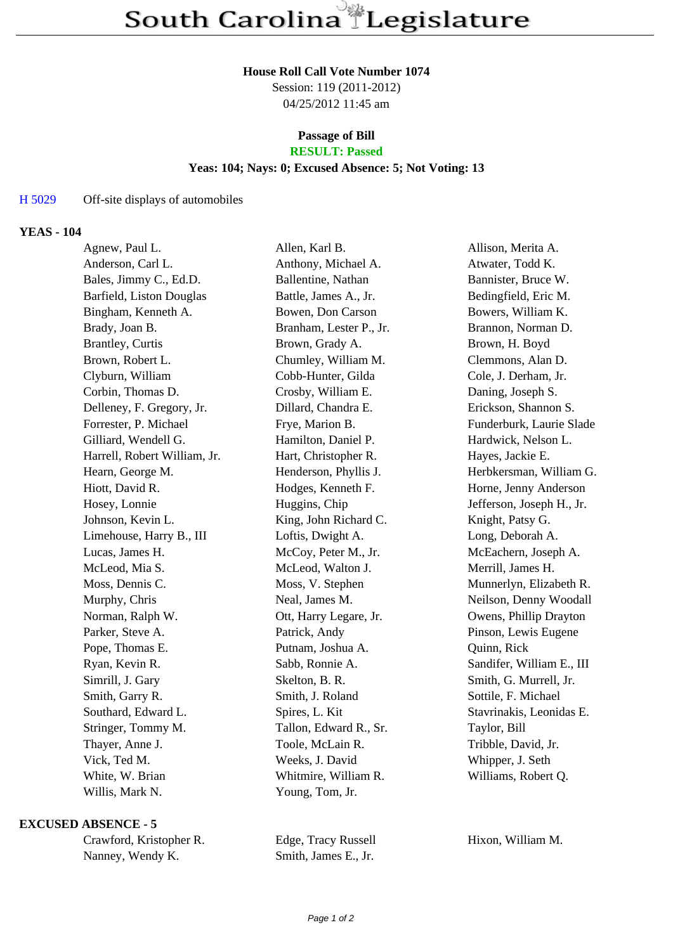#### **House Roll Call Vote Number 1074**

Session: 119 (2011-2012) 04/25/2012 11:45 am

# **Passage of Bill**

# **RESULT: Passed**

### **Yeas: 104; Nays: 0; Excused Absence: 5; Not Voting: 13**

#### H 5029 Off-site displays of automobiles

#### **YEAS - 104**

| Agnew, Paul L.               | Allen, Karl B.          | Allison, Merita A.        |
|------------------------------|-------------------------|---------------------------|
| Anderson, Carl L.            | Anthony, Michael A.     | Atwater, Todd K.          |
| Bales, Jimmy C., Ed.D.       | Ballentine, Nathan      | Bannister, Bruce W.       |
| Barfield, Liston Douglas     | Battle, James A., Jr.   | Bedingfield, Eric M.      |
| Bingham, Kenneth A.          | Bowen, Don Carson       | Bowers, William K.        |
| Brady, Joan B.               | Branham, Lester P., Jr. | Brannon, Norman D.        |
| <b>Brantley, Curtis</b>      | Brown, Grady A.         | Brown, H. Boyd            |
| Brown, Robert L.             | Chumley, William M.     | Clemmons, Alan D.         |
| Clyburn, William             | Cobb-Hunter, Gilda      | Cole, J. Derham, Jr.      |
| Corbin, Thomas D.            | Crosby, William E.      | Daning, Joseph S.         |
| Delleney, F. Gregory, Jr.    | Dillard, Chandra E.     | Erickson, Shannon S.      |
| Forrester, P. Michael        | Frye, Marion B.         | Funderburk, Laurie Slade  |
| Gilliard, Wendell G.         | Hamilton, Daniel P.     | Hardwick, Nelson L.       |
| Harrell, Robert William, Jr. | Hart, Christopher R.    | Hayes, Jackie E.          |
| Hearn, George M.             | Henderson, Phyllis J.   | Herbkersman, William G.   |
| Hiott, David R.              | Hodges, Kenneth F.      | Horne, Jenny Anderson     |
| Hosey, Lonnie                | Huggins, Chip           | Jefferson, Joseph H., Jr. |
| Johnson, Kevin L.            | King, John Richard C.   | Knight, Patsy G.          |
| Limehouse, Harry B., III     | Loftis, Dwight A.       | Long, Deborah A.          |
| Lucas, James H.              | McCoy, Peter M., Jr.    | McEachern, Joseph A.      |
| McLeod, Mia S.               | McLeod, Walton J.       | Merrill, James H.         |
| Moss, Dennis C.              | Moss, V. Stephen        | Munnerlyn, Elizabeth R.   |
| Murphy, Chris                | Neal, James M.          | Neilson, Denny Woodall    |
| Norman, Ralph W.             | Ott, Harry Legare, Jr.  | Owens, Phillip Drayton    |
| Parker, Steve A.             | Patrick, Andy           | Pinson, Lewis Eugene      |
| Pope, Thomas E.              | Putnam, Joshua A.       | Quinn, Rick               |
| Ryan, Kevin R.               | Sabb, Ronnie A.         | Sandifer, William E., III |
| Simrill, J. Gary             | Skelton, B. R.          | Smith, G. Murrell, Jr.    |
| Smith, Garry R.              | Smith, J. Roland        | Sottile, F. Michael       |
| Southard, Edward L.          | Spires, L. Kit          | Stavrinakis, Leonidas E.  |
| Stringer, Tommy M.           | Tallon, Edward R., Sr.  | Taylor, Bill              |
| Thayer, Anne J.              | Toole, McLain R.        | Tribble, David, Jr.       |
| Vick, Ted M.                 | Weeks, J. David         | Whipper, J. Seth          |
| White, W. Brian              | Whitmire, William R.    | Williams, Robert Q.       |
| Willis, Mark N.              | Young, Tom, Jr.         |                           |
|                              |                         |                           |

#### **EXCUSED ABSENCE - 5**

| Crawford, Kristopher R. |
|-------------------------|
| Nanney, Wendy K.        |

Edge, Tracy Russell Hixon, William M. Smith, James E., Jr.